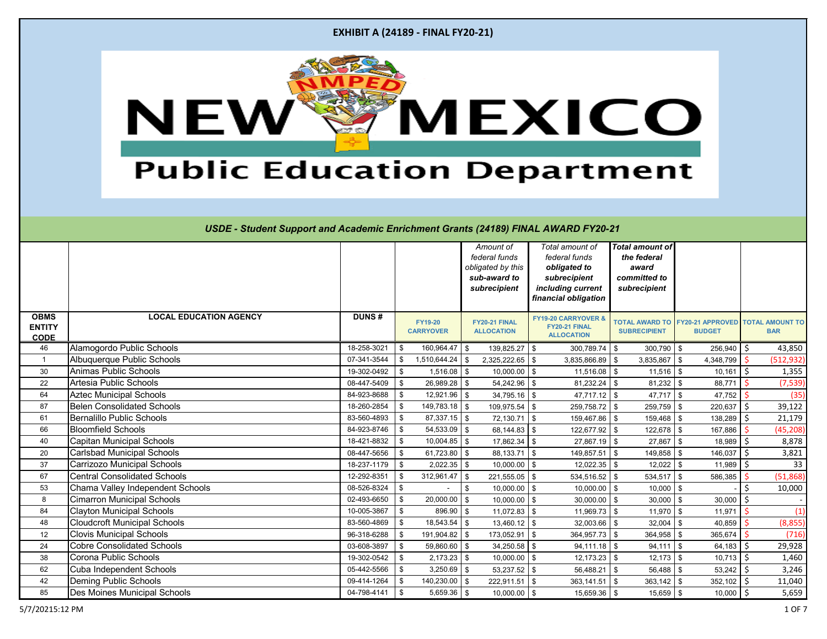| <b>EXHIBIT A (24189 - FINAL FY20-21)</b> |  |  |  |
|------------------------------------------|--|--|--|
|------------------------------------------|--|--|--|



|                                             |                                     |              |     |                                    |            | Amount of<br>federal funds<br>obligated by this<br>sub-award to<br>subrecipient | Total amount of<br>federal funds<br>obligated to<br>subrecipient<br>including current<br>financial obligation | <b>Total amount of</b><br>the federal<br>award<br>committed to<br>subrecipient |            |                                          |    |                                      |
|---------------------------------------------|-------------------------------------|--------------|-----|------------------------------------|------------|---------------------------------------------------------------------------------|---------------------------------------------------------------------------------------------------------------|--------------------------------------------------------------------------------|------------|------------------------------------------|----|--------------------------------------|
| <b>OBMS</b><br><b>ENTITY</b><br><b>CODE</b> | <b>LOCAL EDUCATION AGENCY</b>       | <b>DUNS#</b> |     | <b>FY19-20</b><br><b>CARRYOVER</b> |            | FY20-21 FINAL<br><b>ALLOCATION</b>                                              | <b>FY19-20 CARRYOVER &amp;</b><br>FY20-21 FINAL<br><b>ALLOCATION</b>                                          | <b>TOTAL AWARD TO</b><br><b>SUBRECIPIENT</b>                                   |            | <b>FY20-21 APPROVED</b><br><b>BUDGET</b> |    | <b>TOTAL AMOUNT TO</b><br><b>BAR</b> |
| 46                                          | Alamogordo Public Schools           | 18-258-3021  | -\$ | 160,964.47 \$                      |            | $139,825.27$ \$                                                                 | $300,789.74$ \$                                                                                               | $300,790$ \$                                                                   |            | 256,940                                  | \$ | 43,850                               |
| $\mathbf{1}$                                | Albuquerque Public Schools          | 07-341-3544  | \$  | $1,510,644.24$ \$                  |            | $2,325,222.65$ \$                                                               | $3,835,866.89$ \$                                                                                             | $3,835,867$ \$                                                                 |            | 4,348,799                                |    | (512, 932)                           |
| 30                                          | Animas Public Schools               | 19-302-0492  | \$  | $1,516.08$ \$                      |            | $10,000.00$ \$                                                                  | $11,516.08$ \$                                                                                                | $11,516$ \$                                                                    |            | $10,161$ \$                              |    | 1,355                                |
| 22                                          | Artesia Public Schools              | 08-447-5409  | \$  | $26,989.28$ \$                     |            | $54,242.96$ \$                                                                  | $81,232.24$ \$                                                                                                | $81,232$ \$                                                                    |            | 88,771                                   |    | (7, 539)                             |
| 64                                          | <b>Aztec Municipal Schools</b>      | 84-923-8688  | \$  | $12,921.96$ \$                     |            | $34,795.16$ \$                                                                  | $47,717.12$ \$                                                                                                | $47,717$ \$                                                                    |            | 47,752                                   |    | (35)                                 |
| 87                                          | <b>Belen Consolidated Schools</b>   | 18-260-2854  | \$  | $149,783.18$ \$                    |            | 109,975.54 \$                                                                   | 259,758.72 \$                                                                                                 | 259,759                                                                        | l \$       | 220,637                                  | Ŝ. | 39,122                               |
| 61                                          | <b>Bernalillo Public Schools</b>    | 83-560-4893  | \$  | $87,337.15$ \$                     |            | $72,130.71$ \$                                                                  | 159,467.86 \$                                                                                                 | $159,468$ \$                                                                   |            | 138,289                                  | Ŝ. | 21,179                               |
| 66                                          | <b>Bloomfield Schools</b>           | 84-923-8746  | \$  | $54,533.09$ \$                     |            | $68,144.83$ \$                                                                  | 122,677.92 \$                                                                                                 | 122,678 \$                                                                     |            | 167,886                                  |    | (45, 208)                            |
| 40                                          | <b>Capitan Municipal Schools</b>    | 18-421-8832  | \$  | $10,004.85$ \$                     |            | $17,862.34$ \$                                                                  | 27,867.19 \$                                                                                                  | $27,867$ \$                                                                    |            | 18,989                                   | Ŝ. | 8,878                                |
| 20                                          | <b>Carlsbad Municipal Schools</b>   | 08-447-5656  | \$  | $61,723.80$ \$                     |            | $88,133.71$ \$                                                                  | 149,857.51                                                                                                    | \$<br>149,858                                                                  | - \$       | 146,037                                  |    | 3,821                                |
| 37                                          | <b>Carrizozo Municipal Schools</b>  | 18-237-1179  | \$  | $2,022.35$ \$                      |            | $10,000.00$ \$                                                                  | $12,022.35$ \$                                                                                                | 12,022                                                                         | - \$       | 11,989                                   |    | 33                                   |
| 67                                          | <b>Central Consolidated Schools</b> | 12-292-8351  | \$  | $312,961.47$ \$                    |            | $221,555.05$ \$                                                                 | $534,516.52$ \$                                                                                               | $534,517$ \$                                                                   |            | 586,385                                  |    | (51,868)                             |
| 53                                          | Chama Valley Independent Schools    | 08-526-8324  | \$  |                                    | $\sqrt{3}$ | $10,000.00$ \$                                                                  | $10,000.00$ \$                                                                                                | $10,000$ \$                                                                    |            |                                          |    | 10,000                               |
| 8                                           | <b>Cimarron Municipal Schools</b>   | 02-493-6650  | \$  | $20,000.00$ \$                     |            | $10,000.00$ \$                                                                  | $30,000.00$ \$                                                                                                | $30,000$ \$                                                                    |            | 30,000                                   | \$ |                                      |
| 84                                          | <b>Clayton Municipal Schools</b>    | 10-005-3867  | \$  | $896.90$ \$                        |            | $11,072.83$ \$                                                                  | $11,969.73$ \$                                                                                                | $11,970$ \$                                                                    |            | 11,971                                   |    | (1)                                  |
| 48                                          | <b>Cloudcroft Municipal Schools</b> | 83-560-4869  | \$  | $18,543.54$ \$                     |            | $13,460.12$ \$                                                                  | $32,003.66$ \$                                                                                                | $32,004$ \$                                                                    |            | 40,859                                   |    | (8, 855)                             |
| 12                                          | <b>Clovis Municipal Schools</b>     | 96-318-6288  | \$  | 191,904.82 \$                      |            | 173,052.91 \$                                                                   | 364,957.73 \$                                                                                                 | 364,958 \$                                                                     |            | 365,674                                  |    | (716)                                |
| 24                                          | <b>Cobre Consolidated Schools</b>   | 03-608-3897  | \$  | $59,860.60$ \$                     |            | $34,250.58$ \$                                                                  | $94,111.18$ \$                                                                                                | 94,111                                                                         | $\sqrt{3}$ | 64,183                                   | \$ | 29,928                               |
| 38                                          | Corona Public Schools               | 19-302-0542  | \$  | $2,173.23$ \$                      |            | $10,000.00$ \$                                                                  | $12,173.23$ \$                                                                                                | $12,173$ \$                                                                    |            | 10,713                                   | Ŝ. | 1,460                                |
| 62                                          | Cuba Independent Schools            | 05-442-5566  | \$  | $3,250.69$ \$                      |            | $53,237.52$ \$                                                                  | $56,488.21$ \$                                                                                                | $56,488$ \$                                                                    |            | 53,242                                   |    | 3,246                                |
| 42                                          | Deming Public Schools               | 09-414-1264  | \$  | 140,230.00 \$                      |            | $222,911.51$ \$                                                                 | $363,141.51$ \$                                                                                               | $363,142$ \$                                                                   |            | 352,102                                  | Ŝ. | 11,040                               |
| 85                                          | Des Moines Municipal Schools        | 04-798-4141  | \$  | $5,659.36$ \$                      |            | $10,000.00$ \$                                                                  | 15,659.36 \$                                                                                                  | $15,659$ \$                                                                    |            | $10,000$   \$                            |    | 5,659                                |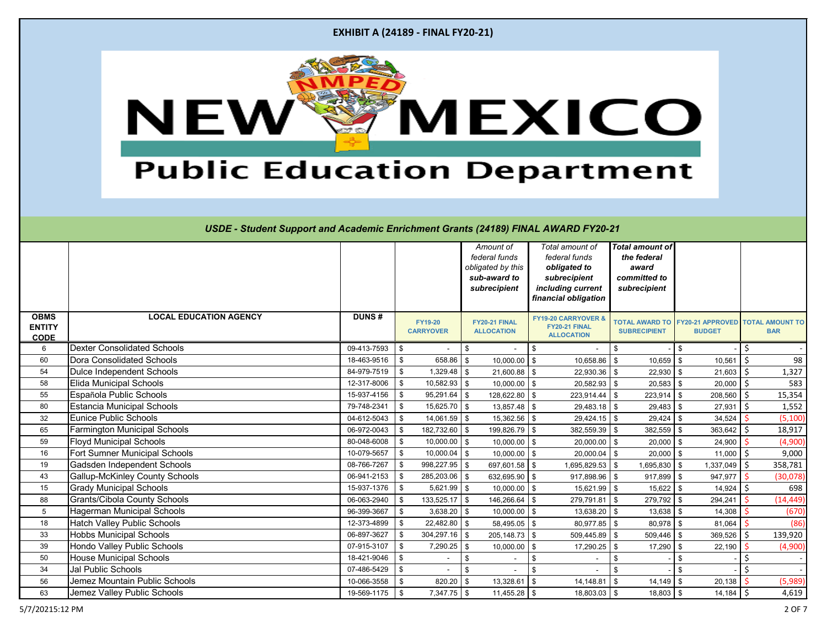|  |  |  |  | <b>EXHIBIT A (24189 - FINAL FY20-21)</b> |
|--|--|--|--|------------------------------------------|
|--|--|--|--|------------------------------------------|



|                                             |                                       |              |                                    | Amount of<br>federal funds<br>obligated by this<br>sub-award to<br>subrecipient | Total amount of<br>federal funds<br>obligated to<br>subrecipient<br>including current<br>financial obligation | <b>Total amount of</b><br>the federal<br>award<br>committed to<br>subrecipient |                                          |                                      |
|---------------------------------------------|---------------------------------------|--------------|------------------------------------|---------------------------------------------------------------------------------|---------------------------------------------------------------------------------------------------------------|--------------------------------------------------------------------------------|------------------------------------------|--------------------------------------|
| <b>OBMS</b><br><b>ENTITY</b><br><b>CODE</b> | <b>LOCAL EDUCATION AGENCY</b>         | <b>DUNS#</b> | <b>FY19-20</b><br><b>CARRYOVER</b> | FY20-21 FINAL<br><b>ALLOCATION</b>                                              | <b>FY19-20 CARRYOVER &amp;</b><br>FY20-21 FINAL<br><b>ALLOCATION</b>                                          | <b>TOTAL AWARD TO</b><br><b>SUBRECIPIENT</b>                                   | <b>FY20-21 APPROVED</b><br><b>BUDGET</b> | <b>TOTAL AMOUNT TO</b><br><b>BAR</b> |
| $6\phantom{.}6$                             | <b>Dexter Consolidated Schools</b>    | 09-413-7593  | \$                                 | \$                                                                              | \$                                                                                                            | \$                                                                             | - \$                                     |                                      |
| 60                                          | <b>Dora Consolidated Schools</b>      | 18-463-9516  | \$<br>$658.86$ \ \$                | $10,000.00$ \$                                                                  | 10,658.86                                                                                                     | $\sqrt[6]{3}$<br>$10,659$ \$                                                   | 10,561                                   | \$<br>98                             |
| 54                                          | <b>Dulce Independent Schools</b>      | 84-979-7519  | \$<br>$1,329.48$ \$                | 21,600.88 \$                                                                    | $22,930.36$ \$                                                                                                | 22,930                                                                         | 21,603<br>l \$                           | 1,327<br>Ŝ.                          |
| 58                                          | <b>Elida Municipal Schools</b>        | 12-317-8006  | $10,582.93$ \$<br>\$               | $10,000.00$ \$                                                                  | $20,582.93$ \$                                                                                                | $20,583$ \$                                                                    | 20,000                                   | 583<br>Ŝ.                            |
| 55                                          | Española Public Schools               | 15-937-4156  | $95,291.64$ \$<br>\$               | 128,622.80 \$                                                                   | 223,914.44                                                                                                    | 223,914<br>\$                                                                  | 208,560                                  | 15,354                               |
| 80                                          | <b>Estancia Municipal Schools</b>     | 79-748-2341  | $15,625.70$ \$<br>\$               | $13,857.48$ \$                                                                  | $29,483.18$ \$                                                                                                | 29,483                                                                         | 27,931<br>- \$                           | Ś.<br>1,552                          |
| 32                                          | <b>Eunice Public Schools</b>          | 04-612-5043  | \$<br>$14,061.59$ \$               | $15,362.56$ \$                                                                  | $29,424.15$ \$                                                                                                | $29,424$ \$                                                                    | 34,524                                   | (5, 100)                             |
| 65                                          | <b>Farmington Municipal Schools</b>   | 06-972-0043  | 182,732.60 \$<br>\$                | 199,826.79 \$                                                                   | $382,559.39$ \$                                                                                               | 382,559                                                                        | 363,642<br>l \$                          | Ŝ.<br>18,917                         |
| 59                                          | <b>Floyd Municipal Schools</b>        | 80-048-6008  | \$<br>$10,000.00$ \$               | $10,000.00$ \$                                                                  | 20,000.00                                                                                                     | $20,000$ \$<br>-\$                                                             | 24,900                                   | (4,900)                              |
| 16                                          | Fort Sumner Municipal Schools         | 10-079-5657  | \$<br>$10,000.04$ \$               | $10,000.00$ \$                                                                  | $20,000.04$ \$                                                                                                | $20,000$ \$                                                                    | 11,000                                   | 9,000                                |
| 19                                          | Gadsden Independent Schools           | 08-766-7267  | $998,227.95$ \$<br>\$              | 697,601.58 \$                                                                   | 1,695,829.53 \$                                                                                               | 1,695,830                                                                      | 1,337,049                                | 358,781<br>\$                        |
| 43                                          | <b>Gallup-McKinley County Schools</b> | 06-941-2153  | \$<br>$285,203.06$ \$              | 632,695.90 $\frac{1}{9}$                                                        | 917,898.96 \$                                                                                                 | 917,899                                                                        | 947,977<br>l \$                          | (30,078)                             |
| 15                                          | <b>Grady Municipal Schools</b>        | 15-937-1376  | \$<br>$5,621.99$ \$                | $10,000.00$ \$                                                                  | 15,621.99 \$                                                                                                  | $15,622$ \$                                                                    | 14,924                                   | 698<br><sup>S</sup>                  |
| 88                                          | <b>Grants/Cibola County Schools</b>   | 06-063-2940  | $133,525.17$ \$<br>\$              | 146,266.64 \$                                                                   | 279,791.81 \$                                                                                                 | 279,792 \$                                                                     | 294,241                                  | (14, 449)                            |
| $5\phantom{.0}$                             | <b>Hagerman Municipal Schools</b>     | 96-399-3667  | \$<br>$3,638.20$ \$                | $10,000.00$ \$                                                                  | $13,638.20$ \$                                                                                                | 13,638                                                                         | 14,308<br>l \$                           | (670)                                |
| 18                                          | <b>Hatch Valley Public Schools</b>    | 12-373-4899  | $22,482.80$ \$<br>\$               | $58,495.05$ \$                                                                  | 80,977.85 \$                                                                                                  | $80,978$ \$                                                                    | 81,064                                   | (86)                                 |
| 33                                          | <b>Hobbs Municipal Schools</b>        | 06-897-3627  | $304,297.16$ \$<br>\$              | $205,148.73$ \$                                                                 | $509,445.89$ \$                                                                                               | $509,446$ \$                                                                   | 369,526                                  | 139,920                              |
| 39                                          | Hondo Valley Public Schools           | 07-915-3107  | \$<br>7,290.25                     | $\mathbf{\hat{s}}$<br>10,000.00                                                 | 17,290.25<br>\$                                                                                               | 17,290<br>-\$                                                                  | 22,190                                   | (4,900)                              |
| $50\,$                                      | <b>House Municipal Schools</b>        | 18-421-9046  | \$                                 | \$                                                                              | $\sqrt[6]{\frac{1}{2}}$                                                                                       | \$                                                                             |                                          |                                      |
| 34                                          | <b>Jal Public Schools</b>             | 07-486-5429  | \$                                 | \$                                                                              | \$                                                                                                            | \$                                                                             | -\$                                      |                                      |
| 56                                          | Jemez Mountain Public Schools         | 10-066-3558  | \$<br>$820.20$ \$                  | $13,328.61$ \$                                                                  | 14,148.81                                                                                                     | $14,149$ \$<br>-\$                                                             | 20,138                                   | (5,989)                              |
| 63                                          | Jemez Valley Public Schools           | 19-569-1175  | $7,347.75$ \$<br>\$                | $11,455.28$ \$                                                                  | 18,803.03 \$                                                                                                  | $18,803$ \$                                                                    | $14,184$ \$                              | 4,619                                |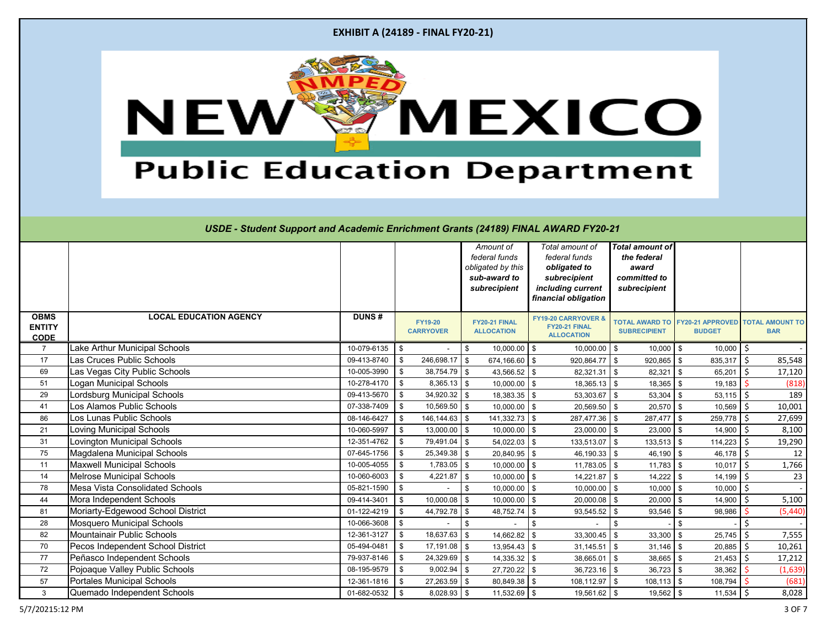|  |  |  |  | <b>EXHIBIT A (24189 - FINAL FY20-21)</b> |
|--|--|--|--|------------------------------------------|
|--|--|--|--|------------------------------------------|



|                                             |                                        |              |                                    | Amount of<br>federal funds<br>obligated by this<br>sub-award to<br>subrecipient | Total amount of<br>federal funds<br>obligated to<br>subrecipient<br>including current<br>financial obligation | <b>Total amount of</b><br>the federal<br>award<br>committed to<br>subrecipient |                                          |                                      |
|---------------------------------------------|----------------------------------------|--------------|------------------------------------|---------------------------------------------------------------------------------|---------------------------------------------------------------------------------------------------------------|--------------------------------------------------------------------------------|------------------------------------------|--------------------------------------|
| <b>OBMS</b><br><b>ENTITY</b><br><b>CODE</b> | <b>LOCAL EDUCATION AGENCY</b>          | <b>DUNS#</b> | <b>FY19-20</b><br><b>CARRYOVER</b> | FY20-21 FINAL<br><b>ALLOCATION</b>                                              | <b>FY19-20 CARRYOVER &amp;</b><br>FY20-21 FINAL<br><b>ALLOCATION</b>                                          | <b>TOTAL AWARD TO</b><br><b>SUBRECIPIENT</b>                                   | <b>FY20-21 APPROVED</b><br><b>BUDGET</b> | <b>TOTAL AMOUNT TO</b><br><b>BAR</b> |
| $\overline{7}$                              | Lake Arthur Municipal Schools          | 10-079-6135  | - \$                               | $10,000.00$ \$<br>\$                                                            | $10,000.00$ \$                                                                                                | $10,000$ \ \$                                                                  | 10,000                                   | \$                                   |
| 17                                          | Las Cruces Public Schools              | 09-413-8740  | 246,698.17 \$<br>\$                | 674,166.60 $\frac{1}{3}$                                                        | $920,864.77$ \$                                                                                               | $920,865$ \$                                                                   | 835,317                                  | \$<br>85,548                         |
| 69                                          | Las Vegas City Public Schools          | 10-005-3990  | $38,754.79$ \$<br>\$               | 43,566.52 \$                                                                    | $82,321.31$ \$                                                                                                | 82,321                                                                         | 65,201<br>l \$                           | Ŝ.<br>17,120                         |
| 51                                          | Logan Municipal Schools                | 10-278-4170  | $8,365.13$ \$<br>$\sqrt[6]{3}$     | $10,000.00$ \$                                                                  | $18,365.13$ \$                                                                                                | $18,365$ \$                                                                    | 19,183                                   | (818)                                |
| 29                                          | Lordsburg Municipal Schools            | 09-413-5670  | $34,920.32$ \$<br>\$               | $18,383.35$ \$                                                                  | 53,303.67                                                                                                     | 53,304<br>$\sqrt[6]{3}$                                                        | 53,115                                   | 189<br>.S                            |
| 41                                          | Los Alamos Public Schools              | 07-338-7409  | $10,569.50$ \$<br>$\sqrt[6]{3}$    | $10,000.00$ \$                                                                  | 20,569.50                                                                                                     | 20,570<br>\$                                                                   | 10,569<br>-\$                            | 10,001<br>\$                         |
| 86                                          | Los Lunas Public Schools               | 08-146-6427  | $146, 144.63$ \ \$<br>\$           | $141,332.73$ \$                                                                 | 287,477.36                                                                                                    | \$<br>$287,477$ \ \$                                                           | 259,778                                  | Ŝ.<br>27,699                         |
| 21                                          | Loving Municipal Schools               | 10-060-5997  | $13,000.00$ \$<br>\$               | $10,000.00$ \$                                                                  | $23,000.00$ \$                                                                                                | $23,000$ \$                                                                    | 14,900                                   | \$<br>8,100                          |
| 31                                          | Lovington Municipal Schools            | 12-351-4762  | 79,491.04 \$<br>\$                 | $54,022.03$ \$                                                                  | 133,513.07                                                                                                    | $133,513$ \$<br>-\$                                                            | 114,223                                  | Ŝ.<br>19,290                         |
| 75                                          | Magdalena Municipal Schools            | 07-645-1756  | $25,349.38$ \$<br>\$               | $20,840.95$ \$                                                                  | $46,190.33$ \$                                                                                                | $46,190$ \$                                                                    | 46,178                                   | 12<br>.S                             |
| 11                                          | <b>Maxwell Municipal Schools</b>       | 10-005-4055  | $1,783.05$ \$<br>\$                | $10,000.00$ \$                                                                  | $11,783.05$ \$                                                                                                | $11,783$ \$                                                                    | 10,017                                   | 1,766<br>\$                          |
| 14                                          | <b>Melrose Municipal Schools</b>       | 10-060-6003  | \$<br>4,221.87 $\frac{1}{2}$       | $10,000.00$ \$                                                                  | 14,221.87                                                                                                     | $\sqrt{3}$<br>14,222                                                           | 14,199<br>- \$                           | Ŝ.<br>23                             |
| 78                                          | <b>Mesa Vista Consolidated Schools</b> | 05-821-1590  | \$                                 | $10,000.00$ \$<br>-\$                                                           | $10,000.00$ \$                                                                                                | 10,000                                                                         | 10,000<br>l \$                           | Ŝ.                                   |
| 44                                          | Mora Independent Schools               | 09-414-3401  | $10,000.08$ \$<br>\$               | $10,000.00$ \$                                                                  | $20,000.08$ \$                                                                                                | $20,000$ \ \$                                                                  | 14,900                                   | \$<br>5,100                          |
| 81                                          | Moriarty-Edgewood School District      | 01-122-4219  | \$<br>44,792.78 \$                 | 48,752.74 \$                                                                    | 93,545.52 \$                                                                                                  | 93,546                                                                         | 98,986<br>- \$                           | (5,440)                              |
| 28                                          | <b>Mosquero Municipal Schools</b>      | 10-066-3608  | \$                                 | \$                                                                              | $\boldsymbol{\mathsf{S}}$                                                                                     | \$                                                                             |                                          |                                      |
| 82                                          | Mountainair Public Schools             | 12-361-3127  | $18,637.63$ \$<br>$\sqrt[6]{3}$    | $14,662.82$ \$                                                                  | 33,300.45                                                                                                     | 33,300<br>$\sqrt[6]{3}$                                                        | 25,745<br>-\$                            | 7,555<br>Ŝ.                          |
| 70                                          | Pecos Independent School District      | 05-494-0481  | $17,191.08$ \$<br>\$               | $13,954.43$ \$                                                                  | 31,145.51                                                                                                     | $\sqrt[6]{3}$<br>31,146                                                        | 20,885<br>l \$                           | \$<br>10,261                         |
| 77                                          | Peñasco Independent Schools            | 79-937-8146  | $24,329.69$ \$<br>\$               | $14,335.32$ \$                                                                  | 38,665.01                                                                                                     | $38,665$ \$<br>\$                                                              | $21,453$ \$                              | 17,212                               |
| 72                                          | Pojoaque Valley Public Schools         | 08-195-9579  | $9,002.94$ \$<br>\$                | $27,720.22$ \$                                                                  | $36,723.16$ \$                                                                                                | $36,723$ \$                                                                    | 38,362                                   | (1,639)                              |
| 57                                          | <b>Portales Municipal Schools</b>      | 12-361-1816  | $27,263.59$ \$<br>\$               | $80,849.38$ \$                                                                  | 108,112.97 \$                                                                                                 | $108,113$ \$                                                                   | 108,794                                  | (681)                                |
| $\mathbf{3}$                                | Quemado Independent Schools            | 01-682-0532  | $8,028.93$ \$<br>- \$              | $11,532.69$ \$                                                                  | 19,561.62 \$                                                                                                  | $19,562$ \$                                                                    | $11,534$ \$                              | 8,028                                |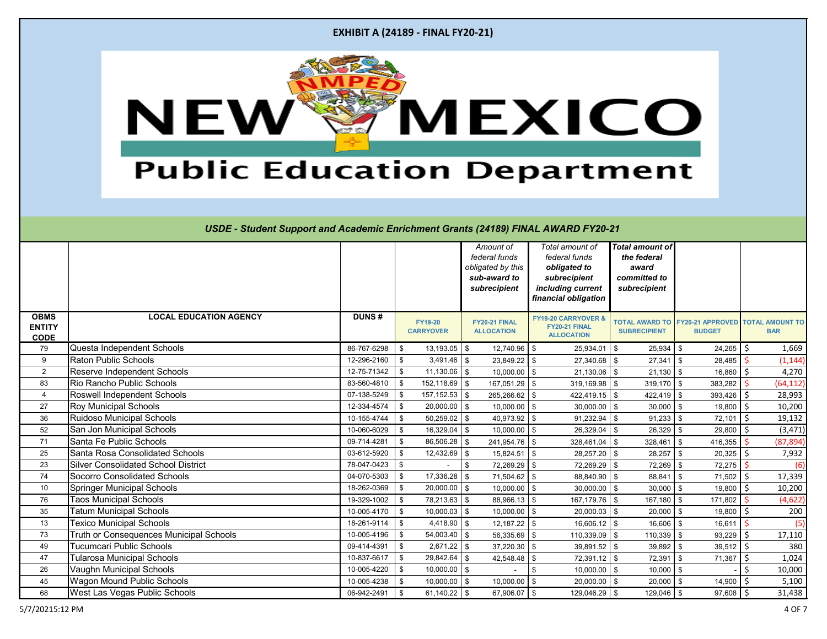| <b>EXHIBIT A (24189 - FINAL FY20-21)</b> |  |  |  |
|------------------------------------------|--|--|--|
|------------------------------------------|--|--|--|



|                                             |                                            |              |                                    | Amount of<br>federal funds<br>obligated by this<br>sub-award to<br>subrecipient |                         | Total amount of<br>federal funds<br>obligated to<br>subrecipient<br>including current<br>financial obligation | <b>Total amount of</b><br>the federal<br>award<br>committed to<br>subrecipient |                                          |              |                                      |
|---------------------------------------------|--------------------------------------------|--------------|------------------------------------|---------------------------------------------------------------------------------|-------------------------|---------------------------------------------------------------------------------------------------------------|--------------------------------------------------------------------------------|------------------------------------------|--------------|--------------------------------------|
| <b>OBMS</b><br><b>ENTITY</b><br><b>CODE</b> | <b>LOCAL EDUCATION AGENCY</b>              | <b>DUNS#</b> | <b>FY19-20</b><br><b>CARRYOVER</b> | FY20-21 FINAL<br><b>ALLOCATION</b>                                              |                         | <b>FY19-20 CARRYOVER &amp;</b><br>FY20-21 FINAL<br><b>ALLOCATION</b>                                          | <b>TOTAL AWARD TO</b><br><b>SUBRECIPIENT</b>                                   | <b>FY20-21 APPROVED</b><br><b>BUDGET</b> |              | <b>TOTAL AMOUNT TO</b><br><b>BAR</b> |
| 79                                          | Questa Independent Schools                 | 86-767-6298  | $13,193.05$ \$<br>\$               |                                                                                 | $12,740.96$ \ \$        | 25,934.01                                                                                                     | \$<br>25,934                                                                   | 24,265<br>- \$                           | Ś.           | 1,669                                |
| $\boldsymbol{9}$                            | <b>Raton Public Schools</b>                | 12-296-2160  | \$<br>$3,491.46$ \$                |                                                                                 | $23,849.22$ \$          | $27,340.68$ \$                                                                                                | $27,341$ \$                                                                    | 28,485                                   |              | (1, 144)                             |
| $\overline{2}$                              | <b>Reserve Independent Schools</b>         | 12-75-71342  | \$<br>$11,130.06$ \$               |                                                                                 | $10,000.00$ \$          | $21,130.06$ \$                                                                                                | $21,130$ \$                                                                    | 16,860                                   | <sup>S</sup> | 4,270                                |
| 83                                          | Rio Rancho Public Schools                  | 83-560-4810  | $152, 118.69$ \$<br>$\sqrt[6]{3}$  |                                                                                 | 167,051.29 \$           | $319,169.98$ \$                                                                                               | $319,170$ \$                                                                   | 383,282                                  |              | (64, 112)                            |
| $\overline{4}$                              | Roswell Independent Schools                | 07-138-5249  | $157, 152.53$ \$<br>\$             |                                                                                 | 265,266.62 \$           | $422,419.15$ \$                                                                                               | 422,419                                                                        | 393,426                                  |              | 28,993                               |
| 27                                          | <b>Roy Municipal Schools</b>               | 12-334-4574  | $20,000.00$ \$<br>\$               |                                                                                 | $10,000.00$ \$          | 30,000.00                                                                                                     | 30,000<br>\$                                                                   | 19,800<br>- \$                           | Ś            | 10,200                               |
| 36                                          | Ruidoso Municipal Schools                  | 10-155-4744  | $50,259.02$ \$<br>\$               |                                                                                 | $40,973.92$ \$          | 91,232.94                                                                                                     | \$<br>$91,233$ \$                                                              | 72,101                                   | Ŝ.           | 19,132                               |
| 52                                          | San Jon Municipal Schools                  | 10-060-6029  | \$<br>$16,329.04$ \$               |                                                                                 | $10,000.00$ \$          | 26,329.04                                                                                                     | 26,329<br>\$                                                                   | 29,800<br>-\$                            | Ŝ.           | (3, 471)                             |
| 71                                          | Santa Fe Public Schools                    | 09-714-4281  | $86,506.28$ \$<br>\$               |                                                                                 | 241,954.76 \$           | 328,461.04                                                                                                    | 328,461<br>-\$                                                                 | 416,355<br>l \$                          |              | (87, 894)                            |
| 25                                          | <b>Santa Rosa Consolidated Schools</b>     | 03-612-5920  | \$<br>$12,432.69$ \$               |                                                                                 | $15,824.51$ \$          | 28,257.20 \$                                                                                                  | 28,257                                                                         | 20,325<br>- \$                           |              | 7,932                                |
| 23                                          | <b>Silver Consolidated School District</b> | 78-047-0423  | \$                                 | \$                                                                              | 72,269.29 \$            | 72,269.29                                                                                                     | 72,269<br>-\$                                                                  | 72,275                                   |              | (6)                                  |
| 74                                          | <b>Socorro Consolidated Schools</b>        | 04-070-5303  | $\sqrt[6]{3}$<br>17,336.28         | l \$                                                                            | $71,504.62$ \$          | 88,840.90                                                                                                     | \$<br>88,841                                                                   | 71,502<br>- \$                           | Ś.           | 17,339                               |
| 10                                          | <b>Springer Municipal Schools</b>          | 18-262-0369  | $20,000.00$ \$<br>\$               |                                                                                 | $10,000.00$ \$          | 30,000.00                                                                                                     | \$<br>30,000                                                                   | 19,800<br>- \$                           | Ś.           | 10,200                               |
| 76                                          | <b>Taos Municipal Schools</b>              | 19-329-1002  | $78,213.63$ \$<br>\$               |                                                                                 | 88,966.13 \$            | 167,179.76 \$                                                                                                 | $167,180$ \$                                                                   | 171,802                                  |              | (4,622)                              |
| 35                                          | <b>Tatum Municipal Schools</b>             | 10-005-4170  | \$<br>$10,000.03$ \$               |                                                                                 | $10,000.00$ \$          | $20,000.03$ \$                                                                                                | $20,000$ \$                                                                    | 19,800                                   |              | 200                                  |
| 13                                          | <b>Texico Municipal Schools</b>            | 18-261-9114  | $4,418.90$ \$<br>\$                |                                                                                 | $12,187.22$ \$          | $16,606.12$ \$                                                                                                | $16,606$ \$                                                                    | 16,611                                   |              | (5)                                  |
| 73                                          | Truth or Consequences Municipal Schools    | 10-005-4196  | \$<br>$54,003.40$ \$               |                                                                                 | $56,335.69$ \$          | 110,339.09 \$                                                                                                 | 110,339                                                                        | 93,229                                   |              | 17,110                               |
| 49                                          | Tucumcari Public Schools                   | 09-414-4391  | \$<br>$2,671.22$ \$                |                                                                                 | $37,220.30$ \$          | $39,891.52$ \$                                                                                                | 39,892                                                                         | 39,512<br>- \$                           |              | 380                                  |
| 47                                          | <b>Tularosa Municipal Schools</b>          | 10-837-6617  | $29,842.64$ \$<br>\$               |                                                                                 | 42,548.48 \$            | 72,391.12 \$                                                                                                  | 72,391                                                                         | 71,367                                   | Ś.           | 1,024                                |
| 26                                          | Vaughn Municipal Schools                   | 10-005-4220  | \$<br>$10,000.00$ \$               |                                                                                 |                         | \$<br>$10,000.00$ \$                                                                                          | 10,000                                                                         | l \$                                     |              | 10,000                               |
| 45                                          | <b>Wagon Mound Public Schools</b>          | 10-005-4238  | \$<br>$10,000.00$ \$               |                                                                                 | $10,000.00$ \$          | $20,000.00$ \$                                                                                                | $20,000$ \$                                                                    | 14,900                                   | S.           | 5,100                                |
| 68                                          | West Las Vegas Public Schools              | 06-942-2491  | \$<br>61,140.22 \$                 |                                                                                 | 67,906.07 $\frac{1}{3}$ | 129,046.29 \$                                                                                                 | 129,046 \$                                                                     | $97,608$ \$                              |              | 31,438                               |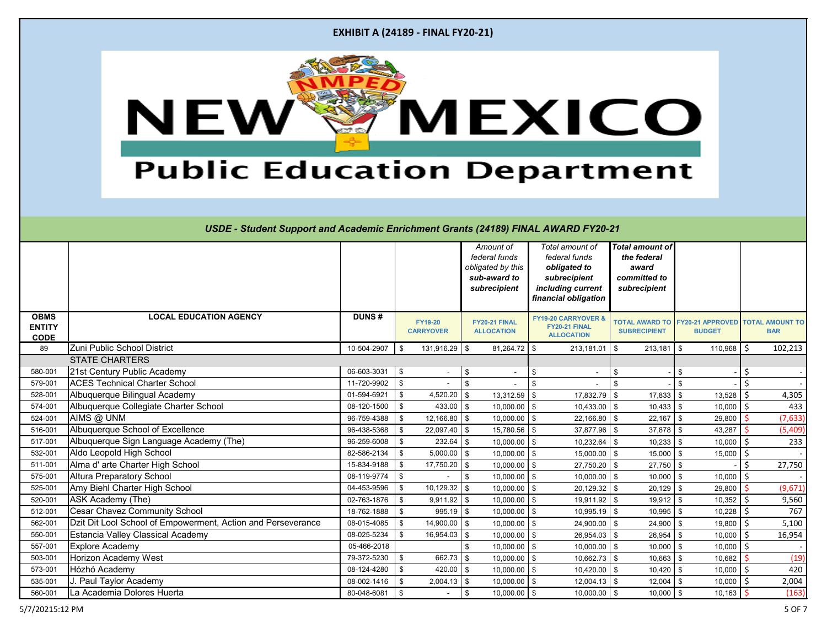|                                                                                                                                          | <b>EXHIBIT A (24189 - FINAL FY20-21)</b>                     |                      |                                    |                                                                                 |                                                                                                               |                                                                         |                                                         |                               |  |  |  |  |
|------------------------------------------------------------------------------------------------------------------------------------------|--------------------------------------------------------------|----------------------|------------------------------------|---------------------------------------------------------------------------------|---------------------------------------------------------------------------------------------------------------|-------------------------------------------------------------------------|---------------------------------------------------------|-------------------------------|--|--|--|--|
| MEXICO<br>NEW<br><b>Public Education Department</b><br>USDE - Student Support and Academic Enrichment Grants (24189) FINAL AWARD FY20-21 |                                                              |                      |                                    |                                                                                 |                                                                                                               |                                                                         |                                                         |                               |  |  |  |  |
|                                                                                                                                          |                                                              |                      |                                    | Amount of<br>federal funds<br>obligated by this<br>sub-award to<br>subrecipient | Total amount of<br>federal funds<br>obligated to<br>subrecipient<br>including current<br>financial obligation | Total amount of<br>the federal<br>award<br>committed to<br>subrecipient |                                                         |                               |  |  |  |  |
|                                                                                                                                          |                                                              |                      |                                    |                                                                                 |                                                                                                               |                                                                         |                                                         |                               |  |  |  |  |
| <b>OBMS</b><br><b>ENTITY</b>                                                                                                             | <b>LOCAL EDUCATION AGENCY</b>                                | <b>DUNS#</b>         | <b>FY19-20</b><br><b>CARRYOVER</b> | FY20-21 FINAL<br><b>ALLOCATION</b>                                              | <b>FY19-20 CARRYOVER &amp;</b><br><b>FY20-21 FINAL</b><br><b>ALLOCATION</b>                                   | <b>SUBRECIPIENT</b>                                                     | <b>TOTAL AWARD TO FY20-21 APPROVED</b><br><b>BUDGET</b> | TOTAL AMOUNT TO<br><b>BAR</b> |  |  |  |  |
| <b>CODE</b><br>89                                                                                                                        | Zuni Public School District                                  | 10-504-2907          | $131,916.29$ \$<br>- \$            | $81,264.72$ \$                                                                  | 213,181.01                                                                                                    | 213,181<br>- \$                                                         | 110,968<br>IS.                                          | 102,213                       |  |  |  |  |
|                                                                                                                                          | <b>STATE CHARTERS</b>                                        |                      |                                    |                                                                                 |                                                                                                               |                                                                         |                                                         |                               |  |  |  |  |
| 580-001                                                                                                                                  | 21st Century Public Academy                                  | $06 - 603 - 3031$ \$ |                                    | \$<br>$\sim$                                                                    | \$                                                                                                            | \$                                                                      |                                                         | Ŝ.                            |  |  |  |  |
| 579-001                                                                                                                                  | <b>ACES Technical Charter School</b>                         | 11-720-9902          | $\sqrt{3}$                         | $\sqrt[6]{\frac{1}{2}}$                                                         | $\sqrt[6]{2}$                                                                                                 | \$                                                                      | -\$                                                     | \$                            |  |  |  |  |
| 528-001                                                                                                                                  | Albuquerque Bilingual Academy                                | 01-594-6921          | $4,520.20$ \$<br>\$                | $13,312.59$ \$                                                                  | 17,832.79 \$                                                                                                  | $17,833$ \$                                                             | 13,528                                                  | 4,305<br>Ŝ.                   |  |  |  |  |
| 574-001                                                                                                                                  | Albuquerque Collegiate Charter School                        | 08-120-1500          | $433.00$ \\$<br>- \$               | $10,000.00$ \$                                                                  | $10,433.00$ \$                                                                                                |                                                                         | 10,000                                                  | 433<br>S.                     |  |  |  |  |
| 524-001                                                                                                                                  | AIMS @ UNM                                                   | 96-759-4388          | $12,166.80$ \$<br>\$               | $10,000.00$ \$                                                                  | 22,166.80 \$                                                                                                  | $22,167$ \$                                                             | 29,800                                                  | (7, 633)                      |  |  |  |  |
| 516-001                                                                                                                                  | Albuquerque School of Excellence                             | 96-438-5368          | $22,097.40$ \$<br>-\$              | 15,780.56 \$                                                                    | 37,877.96 \$                                                                                                  | $37,878$ \$                                                             | 43,287                                                  | (5, 409)                      |  |  |  |  |
| 517-001                                                                                                                                  | Albuquerque Sign Language Academy (The)                      | 96-259-6008          | $232.64$ \\$<br>-\$                | $10,000.00$ \$                                                                  | $10,232.64$ \$                                                                                                | $10,233$ \$                                                             | 10,000                                                  | 233                           |  |  |  |  |
| 532-001                                                                                                                                  | Aldo Leopold High School                                     | 82-586-2134          | $5,000.00$ \$<br>-\$               | $10,000.00$ \$                                                                  | 15,000.00 \$                                                                                                  | 15,000                                                                  | 15,000                                                  |                               |  |  |  |  |
| 511-001                                                                                                                                  | Alma d' arte Charter High School                             | 15-834-9188          | 17,750.20 \$<br>-\$                | $10,000.00$ \$                                                                  | $27,750.20$ \$                                                                                                | $27,750$ \$                                                             |                                                         | 27,750                        |  |  |  |  |
| 575-001                                                                                                                                  | <b>Altura Preparatory School</b>                             | 08-119-9774          | \$                                 | $10,000.00$ \$<br>\$                                                            | $10,000.00$ \$                                                                                                | $10,000$ \ \$                                                           | 10,000                                                  | \$                            |  |  |  |  |
| 525-001                                                                                                                                  | Amy Biehl Charter High School                                | 04-453-9596          | $10,129.32$ \$<br>-\$              | $10,000.00$ \$                                                                  | $20,129.32$ \$                                                                                                | $20,129$ \$                                                             | 29,800                                                  | (9,671)                       |  |  |  |  |
| 520-001                                                                                                                                  | ASK Academy (The)                                            | 02-763-1876          | $9,911.92$ \$<br>\$                | $10,000.00$ \$                                                                  | 19,911.92 \$                                                                                                  | $19,912$ \$                                                             | 10,352                                                  | 9,560                         |  |  |  |  |
| 512-001                                                                                                                                  | <b>Cesar Chavez Community School</b>                         | 18-762-1888          | $995.19$ \$<br>-\$                 | $10,000.00$ \$                                                                  | $10,995.19$ \$                                                                                                | 10,995                                                                  | 10,228                                                  | 767                           |  |  |  |  |
| 562-001                                                                                                                                  | Dzit Dit Lool School of Empowerment, Action and Perseverance | 08-015-4085          | $14,900.00$ \$<br>-\$              | $10,000.00$ \$                                                                  | 24,900.00 \$                                                                                                  | 24,900                                                                  | 19,800                                                  | 5,100                         |  |  |  |  |
| 550-001                                                                                                                                  | <b>Estancia Valley Classical Academy</b>                     | 08-025-5234          | $16,954.03$ \$<br>-\$              | $10,000.00$ \$                                                                  | $26,954.03$ \$                                                                                                | $26,954$ \ \ \$                                                         | 10,000                                                  | 16,954<br>S.                  |  |  |  |  |
| 557-001                                                                                                                                  | <b>Explore Academy</b>                                       | 05-466-2018          |                                    | $10,000.00$ \$<br>\$                                                            | $10,000.00$ \$                                                                                                | $10,000$ \$                                                             | 10,000                                                  |                               |  |  |  |  |
| 503-001                                                                                                                                  | <b>Horizon Academy West</b>                                  | 79-372-5230          | 662.73 $\frac{1}{9}$<br>\$         | $10,000.00$ \$                                                                  | $10,662.73$ \$                                                                                                | $10,663$ \$                                                             | 10,682                                                  | (19)                          |  |  |  |  |
| 573-001                                                                                                                                  | Hózhó Academy                                                | 08-124-4280          | 420.00<br>\$                       | $10,000.00$ \$<br>\$                                                            | 10,420.00 \$                                                                                                  | 10,420                                                                  | 10,000                                                  | 420                           |  |  |  |  |
| 535-001                                                                                                                                  | Paul Taylor Academy                                          | 08-002-1416          | 2,004.13<br>\$                     | $10,000.00$ \$<br>\$                                                            | $12,004.13$ \$                                                                                                | $12,004$ \$                                                             | 10,000                                                  | 2,004                         |  |  |  |  |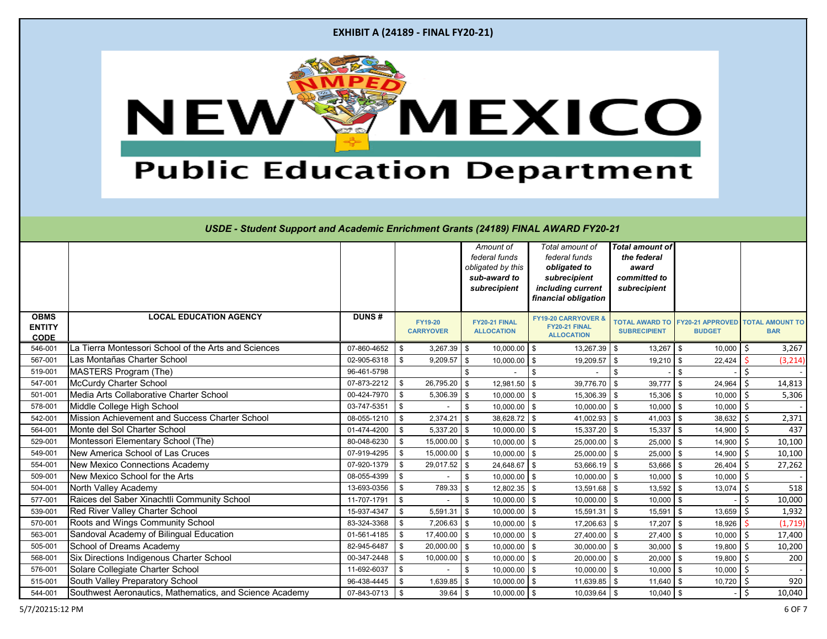| <b>EXHIBIT A (24189 - FINAL FY20-21)</b> |  |  |  |
|------------------------------------------|--|--|--|
|------------------------------------------|--|--|--|



|                                             |                                                         |              |                                    | Amount of<br>federal funds<br>obligated by this<br>sub-award to<br>subrecipient | Total amount of<br>federal funds<br>obligated to<br>subrecipient<br>including current<br>financial obligation | <b>Total amount of</b><br>the federal<br>award<br>committed to<br>subrecipient |                                          |                                      |
|---------------------------------------------|---------------------------------------------------------|--------------|------------------------------------|---------------------------------------------------------------------------------|---------------------------------------------------------------------------------------------------------------|--------------------------------------------------------------------------------|------------------------------------------|--------------------------------------|
| <b>OBMS</b><br><b>ENTITY</b><br><b>CODE</b> | <b>LOCAL EDUCATION AGENCY</b>                           | <b>DUNS#</b> | <b>FY19-20</b><br><b>CARRYOVER</b> | FY20-21 FINAL<br><b>ALLOCATION</b>                                              | FY19-20 CARRYOVER &<br>FY20-21 FINAL<br><b>ALLOCATION</b>                                                     | <b>TOTAL AWARD TO</b><br><b>SUBRECIPIENT</b>                                   | <b>FY20-21 APPROVED</b><br><b>BUDGET</b> | <b>TOTAL AMOUNT TO</b><br><b>BAR</b> |
| 546-001                                     | La Tierra Montessori School of the Arts and Sciences    | 07-860-4652  | $3,267.39$ \$<br>\$                | $10,000.00$ \$                                                                  | $13,267.39$ \$                                                                                                | 13,267                                                                         | 10,000<br>$\sqrt{3}$                     | $\zeta$<br>3,267                     |
| 567-001                                     | Las Montañas Charter School                             | 02-905-6318  | $9,209.57$ \$<br>\$                | $10,000.00$ \$                                                                  | 19,209.57                                                                                                     | $19,210$ \$<br>-\$                                                             | 22,424                                   | (3, 214)                             |
| 519-001                                     | <b>MASTERS Program (The)</b>                            | 96-461-5798  |                                    | \$                                                                              | \$                                                                                                            | \$                                                                             | -\$                                      |                                      |
| 547-001                                     | <b>McCurdy Charter School</b>                           | 07-873-2212  | $26,795.20$ \$<br>\$               | 12,981.50                                                                       | 39,776.70<br>-\$                                                                                              | 39,777<br>\$                                                                   | 24,964<br>\$                             | Ś.<br>14,813                         |
| 501-001                                     | Media Arts Collaborative Charter School                 | 00-424-7970  | \$<br>$5,306.39$ \$                | 10,000.00                                                                       | 15,306.39<br>\$                                                                                               | 15,306<br>\$                                                                   | 10,000<br>-\$                            | 5,306                                |
| 578-001                                     | Middle College High School                              | 03-747-5351  | \$                                 | 10,000.00<br>$\boldsymbol{\mathsf{S}}$                                          | 10,000.00<br>$\sqrt{3}$                                                                                       | 10,000<br>\$                                                                   | 10,000<br>-\$                            | \$                                   |
| 542-001                                     | Mission Achievement and Success Charter School          | 08-055-1210  | $2,374.21$ \$<br>\$                | $38,628.72$ \$                                                                  | 41,002.93                                                                                                     | $\sqrt[6]{\frac{1}{2}}$<br>$41,003$ \ \$                                       | 38,632                                   | Ŝ.<br>2,371                          |
| 564-001                                     | Monte del Sol Charter School                            | 01-474-4200  | \$<br>$5,337.20$ \$                | $10,000.00$ \$                                                                  | $15,337.20$ \$                                                                                                | 15,337                                                                         | $14,900$ \$<br>$\sqrt{3}$                | 437                                  |
| 529-001                                     | Montessori Elementary School (The)                      | 80-048-6230  | $15,000.00$ \$<br>\$               | $10,000.00$ \$                                                                  | 25,000.00                                                                                                     | $25,000$ \$<br>\$                                                              | 14,900                                   | \$<br>10,100                         |
| 549-001                                     | <b>New America School of Las Cruces</b>                 | 07-919-4295  | $15,000.00$ \$<br>\$               | $10,000.00$ \$                                                                  | 25,000.00                                                                                                     | 25,000<br>\$                                                                   | 14,900<br>l \$                           | 10,100                               |
| 554-001                                     | <b>New Mexico Connections Academy</b>                   | 07-920-1379  | $29,017.52$ \$<br>\$               | 24,648.67                                                                       | 53,666.19<br>\$                                                                                               | 53,666<br>\$                                                                   | 26,404<br>-\$                            | \$<br>27,262                         |
| 509-001                                     | New Mexico School for the Arts                          | 08-055-4399  | \$                                 | $10,000.00$ \$<br>\$                                                            | 10,000.00                                                                                                     | $\sqrt[6]{\frac{1}{2}}$<br>10,000                                              | 10,000<br>-\$                            | Ŝ.                                   |
| 504-001                                     | North Valley Academy                                    | 13-693-0356  | \$<br>$789.33$ \$                  | $12,802.35$ \$                                                                  | 13,591.68                                                                                                     | 13,592<br>\$                                                                   | 13,074<br>\$                             | $\mathsf{\dot{S}}$<br>518            |
| 577-001                                     | Raices del Saber Xinachtli Community School             | 11-707-1791  | \$                                 | $10,000.00$ \$<br>\$                                                            | $10,000.00$ \$                                                                                                | $10,000$ \$                                                                    |                                          | ς<br>10,000                          |
| 539-001                                     | <b>Red River Valley Charter School</b>                  | 15-937-4347  | \$<br>$5,591.31$ \$                | $10,000.00$ \$                                                                  | 15,591.31                                                                                                     | 15,591<br>\$                                                                   | 13,659<br>\$                             | Ŝ.<br>1,932                          |
| 570-001                                     | Roots and Wings Community School                        | 83-324-3368  | $7,206.63$ \$<br>\$                | $10,000.00$ \$                                                                  | 17,206.63                                                                                                     | 17,207<br>-\$                                                                  | 18,926<br>. \$                           | (1,719)                              |
| 563-001                                     | Sandoval Academy of Bilingual Education                 | 01-561-4185  | \$<br>$17,400.00$ \$               | $10,000.00$ \$                                                                  | $27,400.00$ \$                                                                                                | 27,400                                                                         | 10,000<br>. \$                           | Ŝ.<br>17,400                         |
| 505-001                                     | School of Dreams Academy                                | 82-945-6487  | $20,000.00$ \$<br>\$               | 10,000.00                                                                       | 30,000.00<br>\$                                                                                               | 30,000<br>\$                                                                   | 19,800<br>-\$                            | \$<br>10,200                         |
| 568-001                                     | Six Directions Indigenous Charter School                | 00-347-2448  | \$<br>$10,000.00$ \$               | 10,000.00                                                                       | 20,000.00<br>\$                                                                                               | $\sqrt[6]{\frac{1}{2}}$<br>20,000                                              | 19,800<br>. \$                           | Ŝ.<br>200                            |
| 576-001                                     | Solare Collegiate Charter School                        | 11-692-6037  | \$                                 | $10,000.00$ \$<br>\$                                                            | 10,000.00                                                                                                     | 10,000<br>\$                                                                   | $\sqrt{3}$<br>10,000                     | Ŝ.                                   |
| 515-001                                     | South Valley Preparatory School                         | 96-438-4445  | \$<br>$1,639.85$ \$                | $10,000.00$ \$                                                                  | $11,639.85$ \$                                                                                                | $11,640$ \$                                                                    | $10,720$ \$                              | 920                                  |
| 544-001                                     | Southwest Aeronautics, Mathematics, and Science Academy | 07-843-0713  | \$<br>$39.64$ \$                   | $10,000.00$ \$                                                                  | $10,039.64$ \$                                                                                                | $10,040$ \$                                                                    |                                          | \$<br>10,040                         |